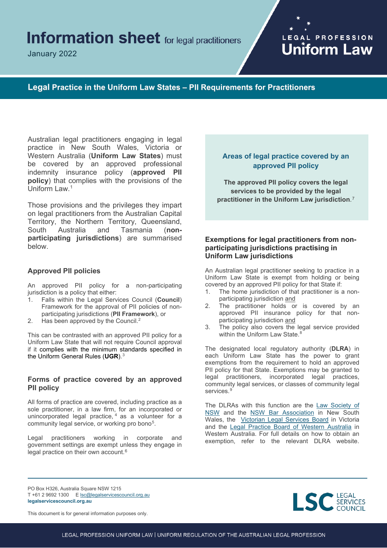# **Information sheet** for legal practitioners

January 2022

# LEGAL PROFESSION **Uniform Law**

**Legal Practice in the Uniform Law States – PII Requirements for Practitioners**

Australian legal practitioners engaging in legal practice in New South Wales, Victoria or Western Australia (**Uniform Law States**) must be covered by an approved professional indemnity insurance policy (**approved PII policy**) that complies with the provisions of the Uniform Law.[1](#page-1-0)

Those provisions and the privileges they impart on legal practitioners from the Australian Capital Territory, the Northern Territory, Queensland, South Australia and Tasmania (**nonparticipating jurisdictions**) are summarised below.

### **Approved PII policies**

An approved PII policy for a non-participating jurisdiction is a policy that either:

- 1. Falls within the Legal Services Council (**Council**) Framework for the approval of PII policies of nonparticipating jurisdictions (**PII Framework**), or
- [2](#page-1-1). Has been approved by the Council.<sup>2</sup>

This can be contrasted with an approved PII policy for a Uniform Law State that will not require Council approval if it complies with the minimum standards specified in the Uniform General Rules (**UGR**). [3](#page-1-2)

#### **Forms of practice covered by an approved PII policy**

All forms of practice are covered, including practice as a sole practitioner, in a law firm, for an incorporated or unincorporated legal practice, [4](#page-1-3) as a volunteer for a community legal service, or working pro bono<sup>[5](#page-1-4)</sup>.

Legal practitioners working in corporate and government settings are exempt unless they engage in legal practice on their own account.<sup>[6](#page-1-5)</sup>

# **Areas of legal practice covered by an approved PII policy**

**The approved PII policy covers the legal services to be provided by the legal practitioner in the Uniform Law jurisdiction**.[7](#page-1-6)

# **Exemptions for legal practitioners from nonparticipating jurisdictions practising in Uniform Law jurisdictions**

An Australian legal practitioner seeking to practice in a Uniform Law State is exempt from holding or being covered by an approved PII policy for that State if:

- 1. The home jurisdiction of that practitioner is a nonparticipating jurisdiction and
- 2. The practitioner holds or is covered by an approved PII insurance policy for that nonparticipating jurisdiction and
- 3. The policy also covers the legal service provided within the Uniform Law State. [8](#page-1-7)

The designated local regulatory authority (**DLRA**) in each Uniform Law State has the power to grant exemptions from the requirement to hold an approved PII policy for that State. Exemptions may be granted to legal practitioners, incorporated legal practices, community legal services, or classes of community legal services. [9](#page-1-8)

The DLRAs with this function are the [Law Society](https://www.lawsociety.com.au/practising-law-in-NSW/working-as-a-solicitor-in-NSW/professional-indemnity-insurance) of [NSW](https://www.lawsociety.com.au/practising-law-in-NSW/working-as-a-solicitor-in-NSW/professional-indemnity-insurance) and the [NSW Bar Association](https://nswbar.asn.au/bar-standards/pi-insurance) in New South Wales, the [Victorian Legal Services](https://www.lsbc.vic.gov.au/sites/default/files/2020-08/D-16-43398%20%20Policy%20-%20VLSB%20-%20Professional%20Indemnity%20Insurance%20Exemptions.pdf) Board in Victoria and the [Legal Practice Board of Western Australia](https://www.lpbwa.org.au/Home.aspx) in Western Australia. For full details on how to obtain an exemption, refer to the relevant DLRA website.

PO Box H326, Australia Square NSW 1215 T +61 2 9692 1300 [E lsc@legalservicescouncil.org.au](mailto:lsc@legalservicescouncil.org.au) **legalservicescouncil.org.au**